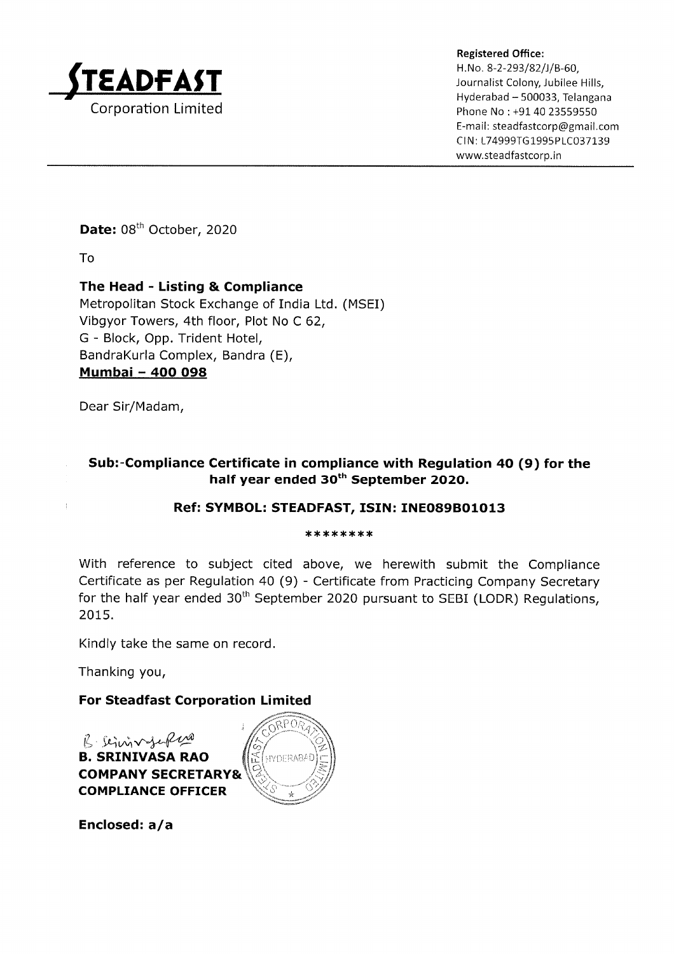

Registered Office: H.No. 8-2-293/82/J/B-60, Journalist Colony, Jubilee Hills, Hyderabad - 500033, Telangana Phone No: +91 40 23559550 E-mail: steadfastcorp@gmail.com CIN: L74999TG1995PLC037139 www.steadfastcorp.in

Date: 08<sup>th</sup> October, 2020

To

 $\overline{1}$ 

# The Head - Listing & Compliance

Metropolitan Stock Exchange of India Ltd. (MSEI) Vibgyor Towers, 4th floor, Plot No C 62, G - Block, Opp. Trident Hotel, BandraKurla Complex, Bandra (E), Mumbai - 4OO O98

Dear Sir/Madam,

## Sub:-Compliance Certificate in compliance with Regulation 4O (9) for the half year ended 30<sup>th</sup> September 2020.

### Ref: SYMBOL: STEADFAST, ISIN: INEO89BO1O13

#### \*\*\*\*\*\*\*\*\*\*\*\*\*\*\*\*\*\*\*

With reference to subject cited above, we herewith submit the Compliance Certificate as per Regulation 40 (9) - Certificate from Practicing Company Secretary for the half year ended  $30<sup>th</sup>$  September 2020 pursuant to SEBI (LODR) Regulations, 2015.

Kindly take the same on record.

Thanking you,

# For Steadfast Corporation Limited

B. SLIMN-Jef<sup>len B</sup><br>B. SRINIVASA RAO COMPANY SECRETARY& COMPLIANCE OFFICER



Enclosed:  $a/a$